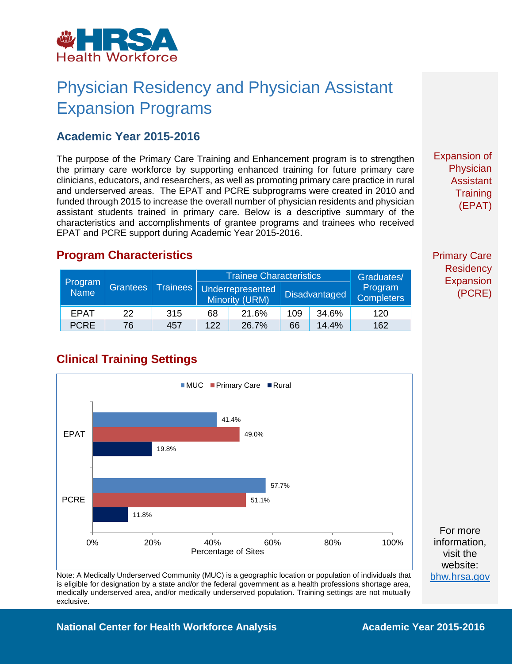

# Physician Residency and Physician Assistant Expansion Programs

#### **Academic Year 2015-2016**

The purpose of the Primary Care Training and Enhancement program is to strengthen the primary care workforce by supporting enhanced training for future primary care clinicians, educators, and researchers, as well as promoting primary care practice in rural and underserved areas. The EPAT and PCRE subprograms were created in 2010 and funded through 2015 to increase the overall number of physician residents and physician assistant students trained in primary care. Below is a descriptive summary of the characteristics and accomplishments of grantee programs and trainees who received EPAT and PCRE support during Academic Year 2015-2016.

Expansion of Physician Assistant **Training** (EPAT)

Primary Care **Residency** Expansion (PCRE)

#### **Program Characteristics**

| Program<br>Name | <b>Grantees</b> | <b>Trainees</b> | <b>Trainee Characteristics</b> |                                           |     |                      | Graduates/                   |
|-----------------|-----------------|-----------------|--------------------------------|-------------------------------------------|-----|----------------------|------------------------------|
|                 |                 |                 |                                | <b>Underrepresented</b><br>Minority (URM) |     | <b>Disadvantaged</b> | Program<br><b>Completers</b> |
| EPAT            | 22              | 315             | 68                             | 21.6%                                     | 109 | 34.6%                | 120                          |
| <b>PCRE</b>     | 76              | 457             | 122                            | 26.7%                                     | 66  | 14.4%                | 162                          |

#### **Clinical Training Settings**



website: [bhw.hrsa.gov](http://bhw.hrsa.gov/)

Note: A Medically Underserved Community (MUC) is a geographic location or population of individuals that is eligible for designation by a state and/or the federal government as a health professions shortage area, medically underserved area, and/or medically underserved population. Training settings are not mutually exclusive.

**National Center for Health Workforce Analysis <b>Academic Year 2015-2016**